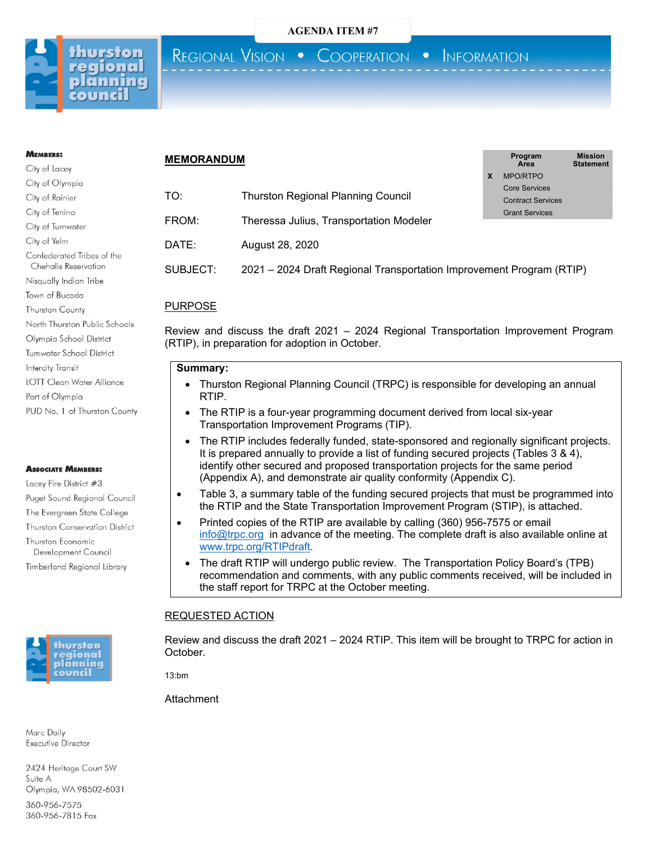

**ihurston** regional planning council

REGIONAL VISION . COOPERATION • INFORMATION

#### MEMREDS:

City of Lacey City of Olympia City of Rainier City of Tenino City of Tumwater City of Yelm Confederated Tribes of the Chehalis Reservation Nisqually Indian Tribe Town of Bucoda **Thurston County** North Thurston Public Schools Olympia School District Tumwater School District **Intercity Transit LOTT Clean Water Alliance** Port of Olympia PUD No. 1 of Thurston County

### **ASSOCIATE MEMBERS:**

Lacey Fire District #3 Puget Sound Regional Council The Evergreen State College Thurston Conservation District Thurston Economic Development Council Timberland Regional Library



Marc Daily Executive Director

2424 Heritage Court SW Suite A Olympia, WA 98502-6031

360-956-7575 360-956-7815 Fax

| <b>MEMORANDUM</b> | Program<br>Area                           |                                           |
|-------------------|-------------------------------------------|-------------------------------------------|
|                   |                                           | <b>MPO/RTPO</b>                           |
| TO:               | <b>Thurston Regional Planning Council</b> | Core Services<br><b>Contract Services</b> |
|                   |                                           | <b>Grant Services</b>                     |
| FROM:             | Theressa Julius, Transportation Modeler   |                                           |
| DATE:             | August 28, 2020                           |                                           |

**Program** 

**Mission Statement** 

SUBJECT: 2021 – 2024 Draft Regional Transportation Improvement Program (RTIP)

# PURPOSE

Review and discuss the draft 2021 – 2024 Regional Transportation Improvement Program (RTIP), in preparation for adoption in October.

## **Summary:**

- Thurston Regional Planning Council (TRPC) is responsible for developing an annual RTIP.
- The RTIP is a four-year programming document derived from local six-year Transportation Improvement Programs (TIP).
- The RTIP includes federally funded, state-sponsored and regionally significant projects. It is prepared annually to provide a list of funding secured projects (Tables 3 & 4), identify other secured and proposed transportation projects for the same period (Appendix A), and demonstrate air quality conformity (Appendix C).
- Table 3, a summary table of the funding secured projects that must be programmed into the RTIP and the State Transportation Improvement Program (STIP), is attached.
- Printed copies of the RTIP are available by calling (360) 956-7575 or email  $info@tpc.org$  in advance of the meeting. The complete draft is also available online at www.trpc.org/RTIPdraft.
- The draft RTIP will undergo public review. The Transportation Policy Board's (TPB) recommendation and comments, with any public comments received, will be included in the staff report for TRPC at the October meeting.

## REQUESTED ACTION

Review and discuss the draft 2021 – 2024 RTIP. This item will be brought to TRPC for action in October.

13:bm

**Attachment**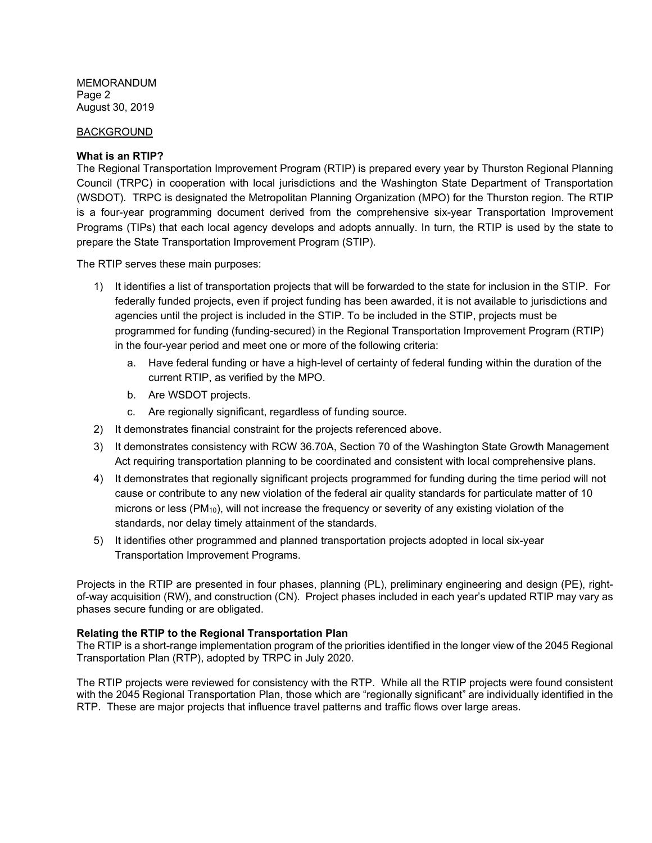MEMORANDUM Page 2 August 30, 2019

### BACKGROUND

#### **What is an RTIP?**

The Regional Transportation Improvement Program (RTIP) is prepared every year by Thurston Regional Planning Council (TRPC) in cooperation with local jurisdictions and the Washington State Department of Transportation (WSDOT). TRPC is designated the Metropolitan Planning Organization (MPO) for the Thurston region. The RTIP is a four-year programming document derived from the comprehensive six-year Transportation Improvement Programs (TIPs) that each local agency develops and adopts annually. In turn, the RTIP is used by the state to prepare the State Transportation Improvement Program (STIP).

The RTIP serves these main purposes:

- 1) It identifies a list of transportation projects that will be forwarded to the state for inclusion in the STIP. For federally funded projects, even if project funding has been awarded, it is not available to jurisdictions and agencies until the project is included in the STIP. To be included in the STIP, projects must be programmed for funding (funding-secured) in the Regional Transportation Improvement Program (RTIP) in the four-year period and meet one or more of the following criteria:
	- a. Have federal funding or have a high-level of certainty of federal funding within the duration of the current RTIP, as verified by the MPO.
	- b. Are WSDOT projects.
	- c. Are regionally significant, regardless of funding source.
- 2) It demonstrates financial constraint for the projects referenced above.
- 3) It demonstrates consistency with RCW 36.70A, Section 70 of the Washington State Growth Management Act requiring transportation planning to be coordinated and consistent with local comprehensive plans.
- 4) It demonstrates that regionally significant projects programmed for funding during the time period will not cause or contribute to any new violation of the federal air quality standards for particulate matter of 10 microns or less ( $PM_{10}$ ), will not increase the frequency or severity of any existing violation of the standards, nor delay timely attainment of the standards.
- 5) It identifies other programmed and planned transportation projects adopted in local six-year Transportation Improvement Programs.

Projects in the RTIP are presented in four phases, planning (PL), preliminary engineering and design (PE), rightof-way acquisition (RW), and construction (CN). Project phases included in each year's updated RTIP may vary as phases secure funding or are obligated.

### **Relating the RTIP to the Regional Transportation Plan**

The RTIP is a short-range implementation program of the priorities identified in the longer view of the 2045 Regional Transportation Plan (RTP), adopted by TRPC in July 2020.

The RTIP projects were reviewed for consistency with the RTP. While all the RTIP projects were found consistent with the 2045 Regional Transportation Plan, those which are "regionally significant" are individually identified in the RTP. These are major projects that influence travel patterns and traffic flows over large areas.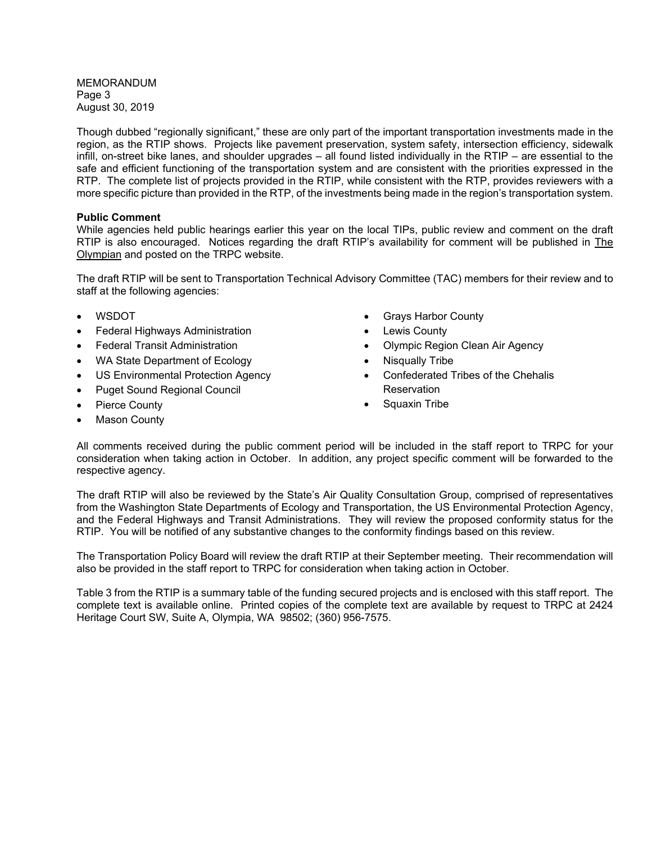MEMORANDUM Page 3 August 30, 2019

Though dubbed "regionally significant," these are only part of the important transportation investments made in the region, as the RTIP shows. Projects like pavement preservation, system safety, intersection efficiency, sidewalk infill, on-street bike lanes, and shoulder upgrades – all found listed individually in the RTIP – are essential to the safe and efficient functioning of the transportation system and are consistent with the priorities expressed in the RTP. The complete list of projects provided in the RTIP, while consistent with the RTP, provides reviewers with a more specific picture than provided in the RTP, of the investments being made in the region's transportation system.

## **Public Comment**

While agencies held public hearings earlier this year on the local TIPs, public review and comment on the draft RTIP is also encouraged. Notices regarding the draft RTIP's availability for comment will be published in The Olympian and posted on the TRPC website.

The draft RTIP will be sent to Transportation Technical Advisory Committee (TAC) members for their review and to staff at the following agencies:

- WSDOT
- Federal Highways Administration
- Federal Transit Administration
- WA State Department of Ecology
- US Environmental Protection Agency
- Puget Sound Regional Council
- Pierce County
- 
- Grays Harbor County
- Lewis County
- Olympic Region Clean Air Agency
- Nisqually Tribe
- Confederated Tribes of the Chehalis Reservation
- Squaxin Tribe

Mason County

All comments received during the public comment period will be included in the staff report to TRPC for your consideration when taking action in October. In addition, any project specific comment will be forwarded to the respective agency.

The draft RTIP will also be reviewed by the State's Air Quality Consultation Group, comprised of representatives from the Washington State Departments of Ecology and Transportation, the US Environmental Protection Agency, and the Federal Highways and Transit Administrations. They will review the proposed conformity status for the RTIP. You will be notified of any substantive changes to the conformity findings based on this review.

The Transportation Policy Board will review the draft RTIP at their September meeting. Their recommendation will also be provided in the staff report to TRPC for consideration when taking action in October.

Table 3 from the RTIP is a summary table of the funding secured projects and is enclosed with this staff report. The complete text is available online. Printed copies of the complete text are available by request to TRPC at 2424 Heritage Court SW, Suite A, Olympia, WA 98502; (360) 956-7575.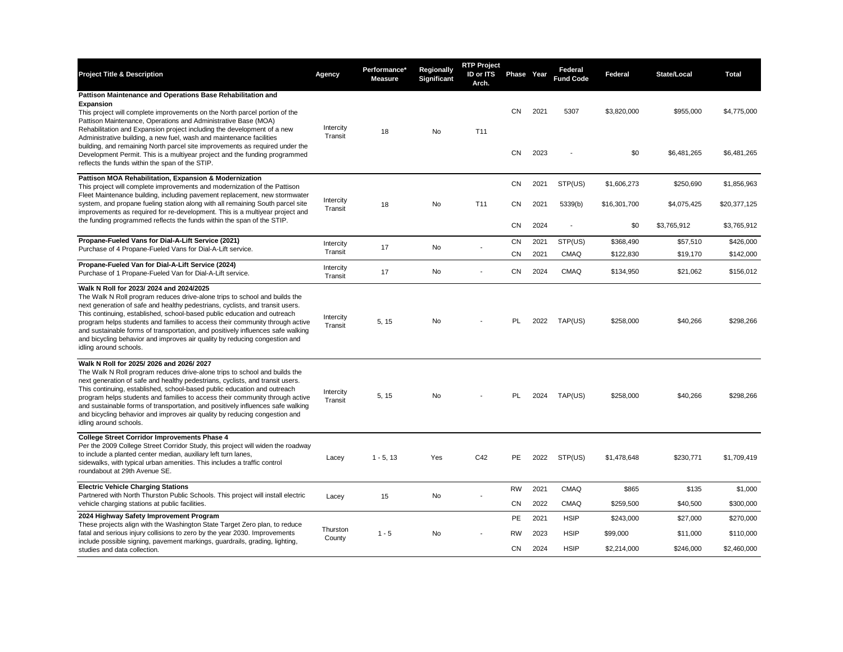| <b>Project Title &amp; Description</b>                                                                                                                                                                                                                                                                                                                                                                                                                                                                                                                          | Agency               | Performance*<br><b>Measure</b> | Regionally<br>Significant | <b>RTP Project</b><br>ID or ITS<br>Arch. | Phase Year      |              | Federal<br><b>Fund Code</b> | Federal                 | State/Local           | Total                    |
|-----------------------------------------------------------------------------------------------------------------------------------------------------------------------------------------------------------------------------------------------------------------------------------------------------------------------------------------------------------------------------------------------------------------------------------------------------------------------------------------------------------------------------------------------------------------|----------------------|--------------------------------|---------------------------|------------------------------------------|-----------------|--------------|-----------------------------|-------------------------|-----------------------|--------------------------|
| Pattison Maintenance and Operations Base Rehabilitation and<br><b>Expansion</b><br>This project will complete improvements on the North parcel portion of the<br>Pattison Maintenance, Operations and Administrative Base (MOA)<br>Rehabilitation and Expansion project including the development of a new                                                                                                                                                                                                                                                      | Intercity            | 18                             | No                        | T <sub>11</sub>                          | CN.             | 2021         | 5307                        | \$3,820,000             | \$955,000             | \$4,775,000              |
| Administrative building, a new fuel, wash and maintenance facilities<br>building, and remaining North parcel site improvements as required under the<br>Development Permit. This is a multiyear project and the funding programmed<br>reflects the funds within the span of the STIP.                                                                                                                                                                                                                                                                           | Transit              |                                |                           |                                          | CN              | 2023         |                             | \$0                     | \$6,481,265           | \$6,481,265              |
| Pattison MOA Rehabilitation, Expansion & Modernization<br>This project will complete improvements and modernization of the Pattison                                                                                                                                                                                                                                                                                                                                                                                                                             |                      |                                |                           |                                          | CN              | 2021         | STP(US)                     | \$1,606,273             | \$250,690             | \$1,856,963              |
| Fleet Maintenance building, including pavement replacement, new stormwater<br>system, and propane fueling station along with all remaining South parcel site<br>improvements as required for re-development. This is a multiyear project and                                                                                                                                                                                                                                                                                                                    | Intercity<br>Transit | 18                             | No                        | T <sub>11</sub>                          | CN              | 2021         | 5339(b)                     | \$16,301,700            | \$4,075,425           | \$20,377,125             |
| the funding programmed reflects the funds within the span of the STIP.                                                                                                                                                                                                                                                                                                                                                                                                                                                                                          |                      |                                |                           |                                          | <b>CN</b>       | 2024         | $\blacksquare$              | \$0                     | \$3,765,912           | \$3,765,912              |
| Propane-Fueled Vans for Dial-A-Lift Service (2021)<br>Purchase of 4 Propane-Fueled Vans for Dial-A-Lift service.                                                                                                                                                                                                                                                                                                                                                                                                                                                | Intercity<br>Transit | 17                             | No                        |                                          | <b>CN</b><br>CN | 2021<br>2021 | STP(US)<br><b>CMAQ</b>      | \$368,490<br>\$122,830  | \$57,510<br>\$19,170  | \$426,000<br>\$142,000   |
| Propane-Fueled Van for Dial-A-Lift Service (2024)<br>Purchase of 1 Propane-Fueled Van for Dial-A-Lift service.                                                                                                                                                                                                                                                                                                                                                                                                                                                  | Intercity<br>Transit | 17                             | No                        |                                          | CN              | 2024         | <b>CMAQ</b>                 | \$134,950               | \$21,062              | \$156,012                |
| Walk N Roll for 2023/ 2024 and 2024/2025<br>The Walk N Roll program reduces drive-alone trips to school and builds the<br>next generation of safe and healthy pedestrians, cyclists, and transit users.<br>This continuing, established, school-based public education and outreach<br>program helps students and families to access their community through active<br>and sustainable forms of transportation, and positively influences safe walking<br>and bicycling behavior and improves air quality by reducing congestion and<br>idling around schools.  | Intercity<br>Transit | 5, 15                          | No                        |                                          | <b>PL</b>       | 2022         | TAP(US)                     | \$258,000               | \$40,266              | \$298,266                |
| Walk N Roll for 2025/ 2026 and 2026/ 2027<br>The Walk N Roll program reduces drive-alone trips to school and builds the<br>next generation of safe and healthy pedestrians, cyclists, and transit users.<br>This continuing, established, school-based public education and outreach<br>program helps students and families to access their community through active<br>and sustainable forms of transportation, and positively influences safe walking<br>and bicycling behavior and improves air quality by reducing congestion and<br>idling around schools. | Intercity<br>Transit | 5, 15                          | No                        |                                          | PL              | 2024         | TAP(US)                     | \$258,000               | \$40,266              | \$298,266                |
| <b>College Street Corridor Improvements Phase 4</b><br>Per the 2009 College Street Corridor Study, this project will widen the roadway<br>to include a planted center median, auxiliary left turn lanes,<br>sidewalks, with typical urban amenities. This includes a traffic control<br>roundabout at 29th Avenue SE.                                                                                                                                                                                                                                           | Lacey                | $1 - 5, 13$                    | Yes                       | C42                                      | PE              | 2022         | STP(US)                     | \$1,478,648             | \$230,771             | \$1,709,419              |
| <b>Electric Vehicle Charging Stations</b><br>Partnered with North Thurston Public Schools. This project will install electric                                                                                                                                                                                                                                                                                                                                                                                                                                   | Lacey                | 15                             | No                        |                                          | RW              | 2021         | <b>CMAQ</b>                 | \$865                   | \$135                 | \$1,000                  |
| vehicle charging stations at public facilities.                                                                                                                                                                                                                                                                                                                                                                                                                                                                                                                 |                      |                                |                           |                                          | <b>CN</b>       | 2022         | <b>CMAQ</b>                 | \$259,500               | \$40,500              | \$300,000                |
| 2024 Highway Safety Improvement Program<br>These projects align with the Washington State Target Zero plan, to reduce                                                                                                                                                                                                                                                                                                                                                                                                                                           | Thurston             |                                |                           |                                          | PE              | 2021         | <b>HSIP</b>                 | \$243,000               | \$27,000              | \$270,000                |
| fatal and serious injury collisions to zero by the year 2030. Improvements<br>include possible signing, pavement markings, guardrails, grading, lighting,<br>studies and data collection.                                                                                                                                                                                                                                                                                                                                                                       | County               | $1 - 5$                        | No                        |                                          | RW<br>CN        | 2023<br>2024 | <b>HSIP</b><br><b>HSIP</b>  | \$99,000<br>\$2,214,000 | \$11,000<br>\$246,000 | \$110,000<br>\$2,460,000 |
|                                                                                                                                                                                                                                                                                                                                                                                                                                                                                                                                                                 |                      |                                |                           |                                          |                 |              |                             |                         |                       |                          |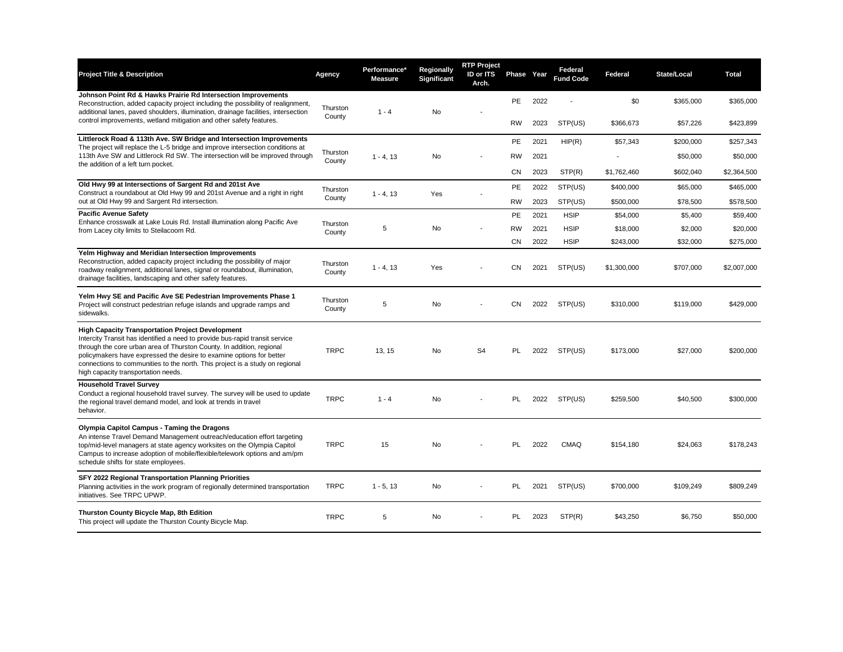| <b>Project Title &amp; Description</b>                                                                                                                                                                                                                                                                                                                                                                          | Agency             | Performance*<br><b>Measure</b> | Regionally<br>Significant | <b>RTP Project</b><br><b>ID or ITS</b><br>Arch. | Phase Year |      | Federal<br><b>Fund Code</b> | Federal     | State/Local | Total       |
|-----------------------------------------------------------------------------------------------------------------------------------------------------------------------------------------------------------------------------------------------------------------------------------------------------------------------------------------------------------------------------------------------------------------|--------------------|--------------------------------|---------------------------|-------------------------------------------------|------------|------|-----------------------------|-------------|-------------|-------------|
| Johnson Point Rd & Hawks Prairie Rd Intersection Improvements<br>Reconstruction, added capacity project including the possibility of realignment,<br>additional lanes, paved shoulders, illumination, drainage facilities, intersection                                                                                                                                                                         | Thurston<br>County | $1 - 4$                        | <b>No</b>                 |                                                 | <b>PE</b>  | 2022 |                             | \$0         | \$365,000   | \$365,000   |
| control improvements, wetland mitigation and other safety features.                                                                                                                                                                                                                                                                                                                                             |                    |                                |                           |                                                 | <b>RW</b>  | 2023 | STP(US)                     | \$366,673   | \$57,226    | \$423,899   |
| Littlerock Road & 113th Ave. SW Bridge and Intersection Improvements<br>The project will replace the L-5 bridge and improve intersection conditions at                                                                                                                                                                                                                                                          |                    |                                |                           |                                                 | PE         | 2021 | HIP(R)                      | \$57,343    | \$200,000   | \$257,343   |
| 113th Ave SW and Littlerock Rd SW. The intersection will be improved through                                                                                                                                                                                                                                                                                                                                    | Thurston<br>County | $1 - 4, 13$                    | No                        |                                                 | <b>RW</b>  | 2021 |                             |             | \$50,000    | \$50,000    |
| the addition of a left turn pocket.                                                                                                                                                                                                                                                                                                                                                                             |                    |                                |                           |                                                 | <b>CN</b>  | 2023 | STP(R)                      | \$1,762,460 | \$602,040   | \$2,364,500 |
| Old Hwy 99 at Intersections of Sargent Rd and 201st Ave<br>Construct a roundabout at Old Hwy 99 and 201st Avenue and a right in right                                                                                                                                                                                                                                                                           | Thurston           |                                |                           |                                                 | PE         | 2022 | STP(US)                     | \$400,000   | \$65,000    | \$465,000   |
| out at Old Hwy 99 and Sargent Rd intersection.                                                                                                                                                                                                                                                                                                                                                                  | County             | $1 - 4, 13$                    | Yes                       |                                                 | RW         | 2023 | STP(US)                     | \$500,000   | \$78,500    | \$578,500   |
| <b>Pacific Avenue Safety</b><br>Enhance crosswalk at Lake Louis Rd. Install illumination along Pacific Ave                                                                                                                                                                                                                                                                                                      |                    |                                |                           |                                                 | PE         | 2021 | <b>HSIP</b>                 | \$54,000    | \$5,400     | \$59,400    |
| from Lacey city limits to Steilacoom Rd.                                                                                                                                                                                                                                                                                                                                                                        | Thurston<br>County | 5                              | <b>No</b>                 |                                                 | <b>RW</b>  | 2021 | <b>HSIP</b>                 | \$18,000    | \$2,000     | \$20,000    |
|                                                                                                                                                                                                                                                                                                                                                                                                                 |                    |                                |                           |                                                 | <b>CN</b>  | 2022 | <b>HSIP</b>                 | \$243.000   | \$32,000    | \$275,000   |
| Yelm Highway and Meridian Intersection Improvements<br>Reconstruction, added capacity project including the possibility of major<br>roadway realignment, additional lanes, signal or roundabout, illumination,<br>drainage facilities, landscaping and other safety features.                                                                                                                                   | Thurston<br>County | $1 - 4.13$                     | Yes                       |                                                 | CN.        | 2021 | STP(US)                     | \$1,300,000 | \$707,000   | \$2,007,000 |
| Yelm Hwy SE and Pacific Ave SE Pedestrian Improvements Phase 1<br>Project will construct pedestrian refuge islands and upgrade ramps and<br>sidewalks.                                                                                                                                                                                                                                                          | Thurston<br>County | 5                              | No                        |                                                 | <b>CN</b>  | 2022 | STP(US)                     | \$310,000   | \$119,000   | \$429,000   |
| <b>High Capacity Transportation Project Development</b><br>Intercity Transit has identified a need to provide bus-rapid transit service<br>through the core urban area of Thurston County. In addition, regional<br>policymakers have expressed the desire to examine options for better<br>connections to communities to the north. This project is a study on regional<br>high capacity transportation needs. | <b>TRPC</b>        | 13, 15                         | <b>No</b>                 | S <sub>4</sub>                                  | <b>PL</b>  | 2022 | STP(US)                     | \$173,000   | \$27,000    | \$200,000   |
| <b>Household Travel Survey</b><br>Conduct a regional household travel survey. The survey will be used to update<br>the regional travel demand model, and look at trends in travel<br>behavior.                                                                                                                                                                                                                  | <b>TRPC</b>        | $1 - 4$                        | No                        |                                                 | PL         | 2022 | STP(US)                     | \$259,500   | \$40,500    | \$300,000   |
| Olympia Capitol Campus - Taming the Dragons<br>An intense Travel Demand Management outreach/education effort targeting<br>top/mid-level managers at state agency worksites on the Olympia Capitol<br>Campus to increase adoption of mobile/flexible/telework options and am/pm<br>schedule shifts for state employees.                                                                                          | <b>TRPC</b>        | 15                             | <b>No</b>                 |                                                 | <b>PL</b>  | 2022 | <b>CMAQ</b>                 | \$154,180   | \$24,063    | \$178,243   |
| SFY 2022 Regional Transportation Planning Priorities<br>Planning activities in the work program of regionally determined transportation<br>initiatives. See TRPC UPWP.                                                                                                                                                                                                                                          | <b>TRPC</b>        | $1 - 5, 13$                    | No                        |                                                 | PL         | 2021 | STP(US)                     | \$700,000   | \$109,249   | \$809,249   |
| Thurston County Bicycle Map, 8th Edition<br>This project will update the Thurston County Bicycle Map.                                                                                                                                                                                                                                                                                                           | <b>TRPC</b>        | 5                              | <b>No</b>                 |                                                 | <b>PL</b>  | 2023 | STP(R)                      | \$43,250    | \$6,750     | \$50,000    |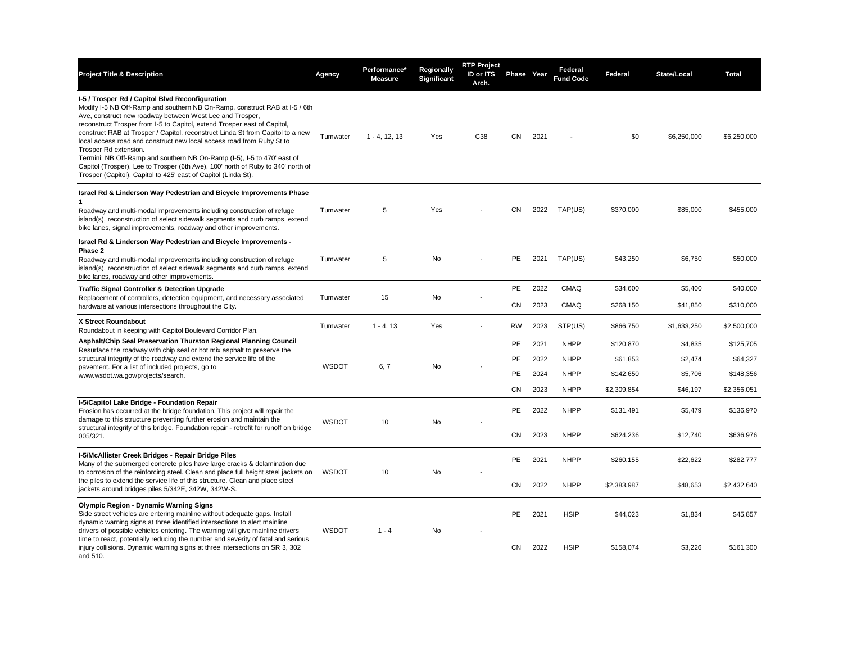| <b>Project Title &amp; Description</b>                                                                                                                                                                                                                                                                                                                                                                                                                                                                                                                                                                                                                                                     | Agency       | Performance*<br><b>Measure</b> | Regionally<br><b>Significant</b> | <b>RTP Project</b><br>ID or ITS<br>Arch. | Phase Year            |                      | Federal<br><b>Fund Code</b>               | Federal                               | State/Local                     | <b>Total</b>                          |
|--------------------------------------------------------------------------------------------------------------------------------------------------------------------------------------------------------------------------------------------------------------------------------------------------------------------------------------------------------------------------------------------------------------------------------------------------------------------------------------------------------------------------------------------------------------------------------------------------------------------------------------------------------------------------------------------|--------------|--------------------------------|----------------------------------|------------------------------------------|-----------------------|----------------------|-------------------------------------------|---------------------------------------|---------------------------------|---------------------------------------|
| I-5 / Trosper Rd / Capitol Blvd Reconfiguration<br>Modify I-5 NB Off-Ramp and southern NB On-Ramp, construct RAB at I-5 / 6th<br>Ave, construct new roadway between West Lee and Trosper,<br>reconstruct Trosper from 1-5 to Capitol, extend Trosper east of Capitol,<br>construct RAB at Trosper / Capitol, reconstruct Linda St from Capitol to a new<br>local access road and construct new local access road from Ruby St to<br>Trosper Rd extension.<br>Termini: NB Off-Ramp and southern NB On-Ramp (I-5), I-5 to 470' east of<br>Capitol (Trosper), Lee to Trosper (6th Ave), 100' north of Ruby to 340' north of<br>Trosper (Capitol), Capitol to 425' east of Capitol (Linda St). | Tumwater     | $1 - 4$ , 12, 13               | Yes                              | C38                                      | <b>CN</b>             | 2021                 |                                           | \$0                                   | \$6,250,000                     | \$6,250,000                           |
| Israel Rd & Linderson Way Pedestrian and Bicycle Improvements Phase<br>Roadway and multi-modal improvements including construction of refuge<br>island(s), reconstruction of select sidewalk segments and curb ramps, extend<br>bike lanes, signal improvements, roadway and other improvements.                                                                                                                                                                                                                                                                                                                                                                                           | Tumwater     | 5                              | Yes                              |                                          | <b>CN</b>             | 2022                 | TAP(US)                                   | \$370,000                             | \$85,000                        | \$455,000                             |
| Israel Rd & Linderson Way Pedestrian and Bicycle Improvements -<br>Phase 2<br>Roadway and multi-modal improvements including construction of refuge<br>island(s), reconstruction of select sidewalk segments and curb ramps, extend<br>bike lanes, roadway and other improvements.                                                                                                                                                                                                                                                                                                                                                                                                         | Tumwater     | 5                              | No                               |                                          | PE                    | 2021                 | TAP(US)                                   | \$43,250                              | \$6,750                         | \$50,000                              |
| <b>Traffic Signal Controller &amp; Detection Upgrade</b><br>Replacement of controllers, detection equipment, and necessary associated<br>hardware at various intersections throughout the City.                                                                                                                                                                                                                                                                                                                                                                                                                                                                                            | Tumwater     | 15                             | No                               |                                          | <b>PE</b><br>CN       | 2022<br>2023         | CMAQ<br><b>CMAQ</b>                       | \$34,600<br>\$268,150                 | \$5,400<br>\$41,850             | \$40,000<br>\$310,000                 |
| X Street Roundabout<br>Roundabout in keeping with Capitol Boulevard Corridor Plan.                                                                                                                                                                                                                                                                                                                                                                                                                                                                                                                                                                                                         | Tumwater     | $1 - 4$ , 13                   | Yes                              | $\overline{\phantom{a}}$                 | <b>RW</b>             | 2023                 | STP(US)                                   | \$866,750                             | \$1,633,250                     | \$2,500,000                           |
| Asphalt/Chip Seal Preservation Thurston Regional Planning Council<br>Resurface the roadway with chip seal or hot mix asphalt to preserve the<br>structural integrity of the roadway and extend the service life of the<br>pavement. For a list of included projects, go to<br>www.wsdot.wa.gov/projects/search.                                                                                                                                                                                                                                                                                                                                                                            | WSDOT        | 6, 7                           | No                               |                                          | PE<br>PE<br><b>PE</b> | 2021<br>2022<br>2024 | <b>NHPP</b><br><b>NHPP</b><br><b>NHPP</b> | \$120,870<br>\$61,853<br>\$142,650    | \$4,835<br>\$2,474<br>\$5,706   | \$125,705<br>\$64,327<br>\$148,356    |
| I-5/Capitol Lake Bridge - Foundation Repair<br>Erosion has occurred at the bridge foundation. This project will repair the<br>damage to this structure preventing further erosion and maintain the<br>structural integrity of this bridge. Foundation repair - retrofit for runoff on bridge<br>005/321.                                                                                                                                                                                                                                                                                                                                                                                   | <b>WSDOT</b> | 10                             | No                               |                                          | <b>CN</b><br>PE<br>CN | 2023<br>2022<br>2023 | <b>NHPP</b><br><b>NHPP</b><br><b>NHPP</b> | \$2,309,854<br>\$131,491<br>\$624,236 | \$46,197<br>\$5,479<br>\$12,740 | \$2,356,051<br>\$136,970<br>\$636,976 |
| I-5/McAllister Creek Bridges - Repair Bridge Piles<br>Many of the submerged concrete piles have large cracks & delamination due<br>to corrosion of the reinforcing steel. Clean and place full height steel jackets on<br>the piles to extend the service life of this structure. Clean and place steel<br>jackets around bridges piles 5/342E, 342W, 342W-S.                                                                                                                                                                                                                                                                                                                              | WSDOT        | 10                             | No                               |                                          | PE<br><b>CN</b>       | 2021<br>2022         | <b>NHPP</b><br><b>NHPP</b>                | \$260,155<br>\$2,383,987              | \$22,622<br>\$48,653            | \$282,777<br>\$2,432,640              |
| <b>Olympic Region - Dynamic Warning Signs</b><br>Side street vehicles are entering mainline without adequate gaps. Install<br>dynamic warning signs at three identified intersections to alert mainline<br>drivers of possible vehicles entering. The warning will give mainline drivers<br>time to react, potentially reducing the number and severity of fatal and serious<br>injury collisions. Dynamic warning signs at three intersections on SR 3, 302<br>and 510.                                                                                                                                                                                                                   | WSDOT        | $1 - 4$                        | <b>No</b>                        |                                          | PE<br><b>CN</b>       | 2021<br>2022         | <b>HSIP</b><br><b>HSIP</b>                | \$44,023<br>\$158,074                 | \$1,834<br>\$3,226              | \$45,857<br>\$161,300                 |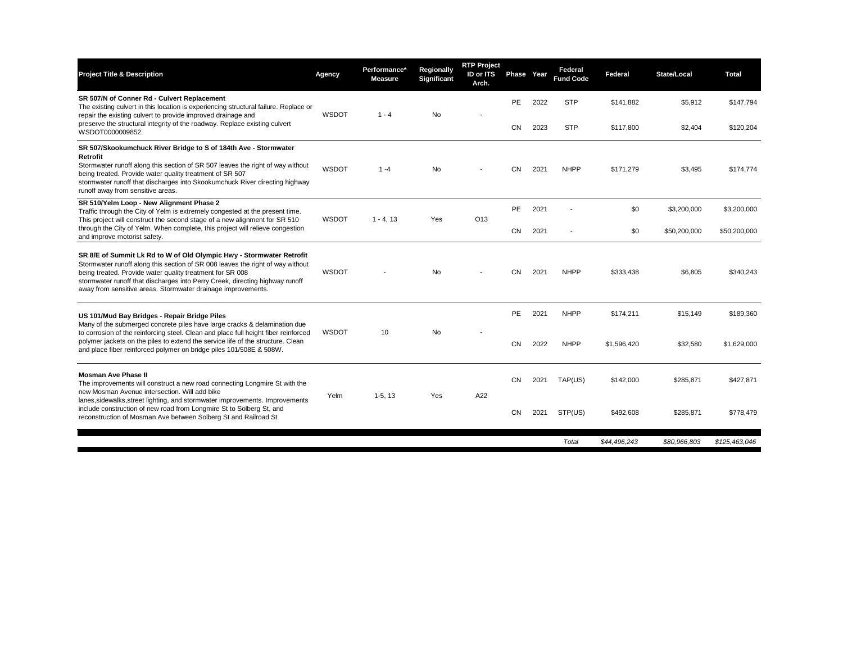| <b>Project Title &amp; Description</b>                                                                                                                                                                                                                                                                                                                              | Agency       | Performance*<br><b>Measure</b> | Regionally<br>Significant | <b>RTP Project</b><br>ID or ITS<br>Arch. | Phase     | Year | Federal<br><b>Fund Code</b> | Federal      | State/Local  | <b>Total</b>  |
|---------------------------------------------------------------------------------------------------------------------------------------------------------------------------------------------------------------------------------------------------------------------------------------------------------------------------------------------------------------------|--------------|--------------------------------|---------------------------|------------------------------------------|-----------|------|-----------------------------|--------------|--------------|---------------|
| SR 507/N of Conner Rd - Culvert Replacement<br>The existing culvert in this location is experiencing structural failure. Replace or<br>repair the existing culvert to provide improved drainage and<br>preserve the structural integrity of the roadway. Replace existing culvert                                                                                   | WSDOT        | $1 - 4$                        | <b>No</b>                 |                                          | <b>PE</b> | 2022 | <b>STP</b>                  | \$141.882    | \$5.912      | \$147.794     |
| WSDOT0000009852.                                                                                                                                                                                                                                                                                                                                                    |              |                                |                           |                                          | <b>CN</b> | 2023 | <b>STP</b>                  | \$117,800    | \$2,404      | \$120,204     |
| SR 507/Skookumchuck River Bridge to S of 184th Ave - Stormwater<br>Retrofit<br>Stormwater runoff along this section of SR 507 leaves the right of way without<br>being treated. Provide water quality treatment of SR 507<br>stormwater runoff that discharges into Skookumchuck River directing highway<br>runoff away from sensitive areas.                       | <b>WSDOT</b> | $1 - 4$                        | No                        |                                          | <b>CN</b> | 2021 | <b>NHPP</b>                 | \$171,279    | \$3,495      | \$174,774     |
| SR 510/Yelm Loop - New Alignment Phase 2<br>Traffic through the City of Yelm is extremely congested at the present time.                                                                                                                                                                                                                                            |              |                                |                           |                                          | PE        | 2021 |                             | \$0          | \$3,200,000  | \$3,200,000   |
| This project will construct the second stage of a new alignment for SR 510<br>through the City of Yelm. When complete, this project will relieve congestion<br>and improve motorist safety.                                                                                                                                                                         | <b>WSDOT</b> | $1 - 4, 13$                    | Yes                       | O <sub>13</sub>                          | <b>CN</b> | 2021 |                             | \$0          | \$50,200,000 | \$50,200,000  |
| SR 8/E of Summit Lk Rd to W of Old Olympic Hwy - Stormwater Retrofit<br>Stormwater runoff along this section of SR 008 leaves the right of way without<br>being treated. Provide water quality treatment for SR 008<br>stormwater runoff that discharges into Perry Creek, directing highway runoff<br>away from sensitive areas. Stormwater drainage improvements. | WSDOT        |                                | <b>No</b>                 |                                          | <b>CN</b> | 2021 | <b>NHPP</b>                 | \$333.438    | \$6.805      | \$340.243     |
| US 101/Mud Bay Bridges - Repair Bridge Piles<br>Many of the submerged concrete piles have large cracks & delamination due                                                                                                                                                                                                                                           |              | 10                             |                           |                                          | PE        | 2021 | <b>NHPP</b>                 | \$174.211    | \$15.149     | \$189,360     |
| to corrosion of the reinforcing steel. Clean and place full height fiber reinforced<br>polymer jackets on the piles to extend the service life of the structure. Clean<br>and place fiber reinforced polymer on bridge piles 101/508E & 508W.                                                                                                                       | <b>WSDOT</b> |                                | <b>No</b>                 |                                          | <b>CN</b> | 2022 | <b>NHPP</b>                 | \$1,596,420  | \$32,580     | \$1,629,000   |
| <b>Mosman Ave Phase II</b><br>The improvements will construct a new road connecting Longmire St with the<br>new Mosman Avenue intersection. Will add bike                                                                                                                                                                                                           | Yelm         |                                | Yes                       |                                          | <b>CN</b> | 2021 | TAP(US)                     | \$142,000    | \$285,871    | \$427.871     |
| lanes, sidewalks, street lighting, and stormwater improvements. Improvements<br>include construction of new road from Longmire St to Solberg St, and<br>reconstruction of Mosman Ave between Solberg St and Railroad St                                                                                                                                             |              | $1-5, 13$                      |                           | A22                                      | <b>CN</b> | 2021 | STP(US)                     | \$492,608    | \$285,871    | \$778,479     |
|                                                                                                                                                                                                                                                                                                                                                                     |              |                                |                           |                                          |           |      | Total                       | \$44,496,243 | \$80,966,803 | \$125,463,046 |